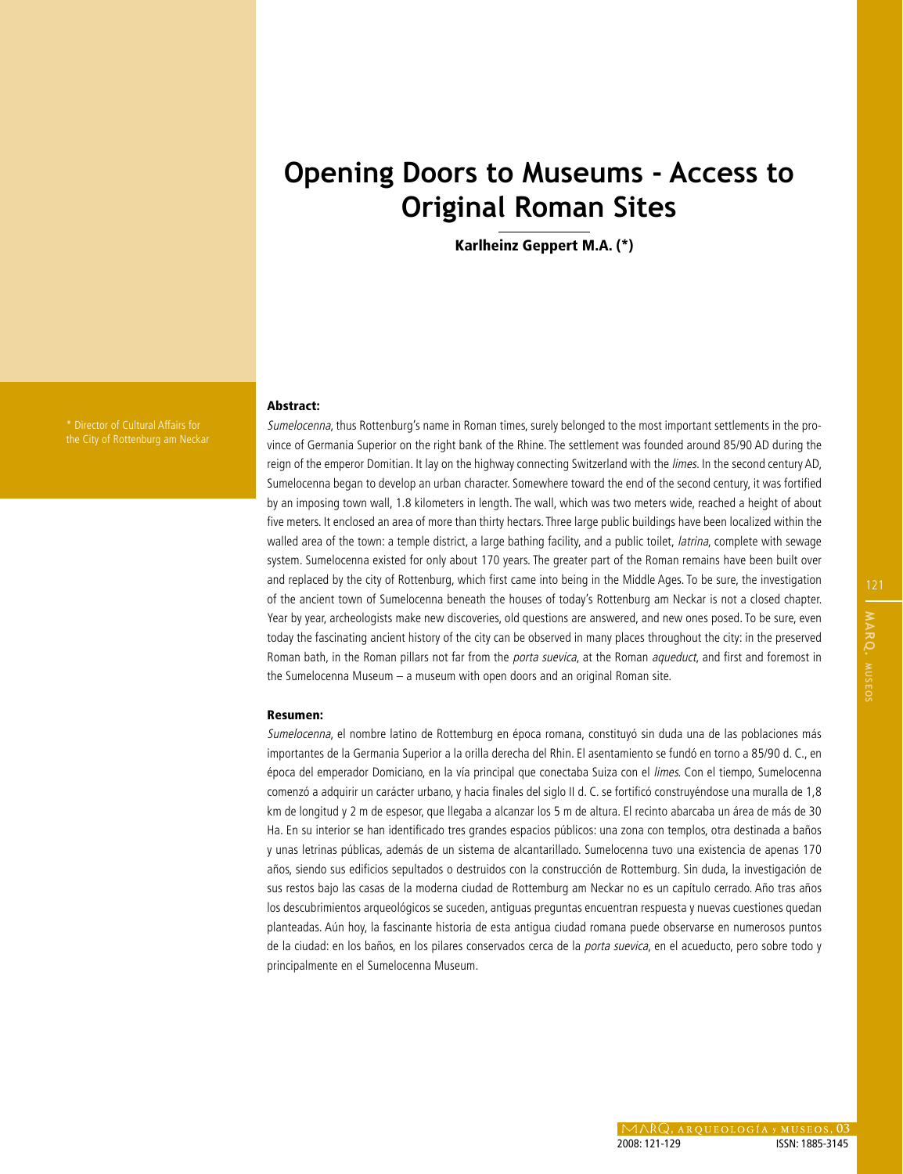# **Opening Doors to Museums - Access to Original Roman Sites**

Karlheinz Geppert M.A. (\*)

the City of Rottenburg am Neckar

#### Abstract:

Sumelocenna, thus Rottenburg's name in Roman times, surely belonged to the most important settlements in the province of Germania Superior on the right bank of the Rhine. The settlement was founded around 85/90 AD during the reign of the emperor Domitian. It lay on the highway connecting Switzerland with the *limes*. In the second century AD, Sumelocenna began to develop an urban character. Somewhere toward the end of the second century, it was fortified by an imposing town wall, 1.8 kilometers in length. The wall, which was two meters wide, reached a height of about five meters. It enclosed an area of more than thirty hectars. Three large public buildings have been localized within the walled area of the town: a temple district, a large bathing facility, and a public toilet, *latrina*, complete with sewage system. Sumelocenna existed for only about 170 years. The greater part of the Roman remains have been built over and replaced by the city of Rottenburg, which first came into being in the Middle Ages. To be sure, the investigation of the ancient town of Sumelocenna beneath the houses of today's Rottenburg am Neckar is not a closed chapter. Year by year, archeologists make new discoveries, old questions are answered, and new ones posed. To be sure, even today the fascinating ancient history of the city can be observed in many places throughout the city: in the preserved Roman bath, in the Roman pillars not far from the *porta suevica*, at the Roman *aqueduct*, and first and foremost in the Sumelocenna Museum – a museum with open doors and an original Roman site.

#### Resumen:

Sumelocenna, el nombre latino de Rottemburg en época romana, constituyó sin duda una de las poblaciones más importantes de la Germania Superior a la orilla derecha del Rhin. El asentamiento se fundó en torno a 85/90 d. C., en época del emperador Domiciano, en la vía principal que conectaba Suiza con el limes. Con el tiempo, Sumelocenna comenzó a adquirir un carácter urbano, y hacia finales del siglo II d. C. se fortificó construyéndose una muralla de 1,8 km de longitud y 2 m de espesor, que llegaba a alcanzar los 5 m de altura. El recinto abarcaba un área de más de 30 Ha. En su interior se han identificado tres grandes espacios públicos: una zona con templos, otra destinada a baños y unas letrinas públicas, además de un sistema de alcantarillado. Sumelocenna tuvo una existencia de apenas 170 años, siendo sus edificios sepultados o destruidos con la construcción de Rottemburg. Sin duda, la investigación de sus restos bajo las casas de la moderna ciudad de Rottemburg am Neckar no es un capítulo cerrado. Año tras años los descubrimientos arqueológicos se suceden, antiguas preguntas encuentran respuesta y nuevas cuestiones quedan planteadas. Aún hoy, la fascinante historia de esta antigua ciudad romana puede observarse en numerosos puntos de la ciudad: en los baños, en los pilares conservados cerca de la porta suevica, en el acueducto, pero sobre todo y principalmente en el Sumelocenna Museum.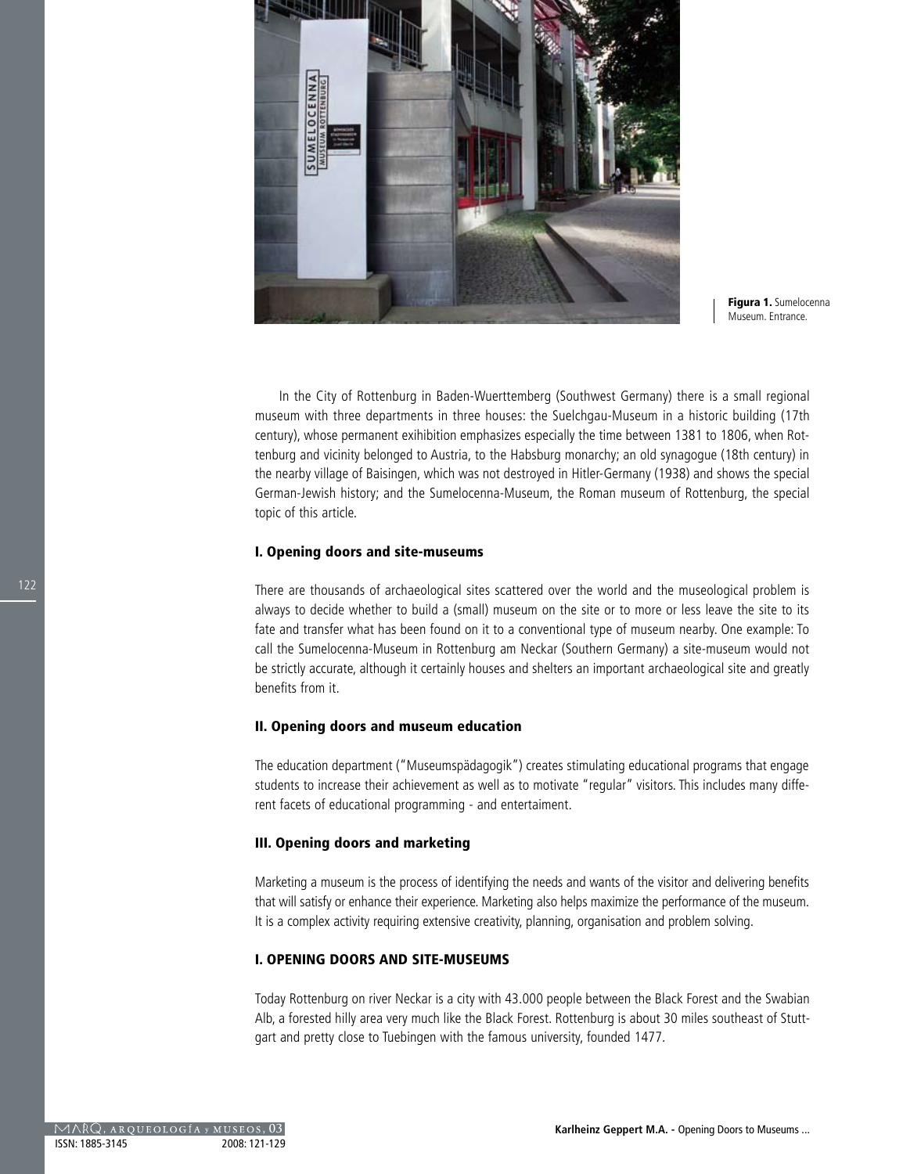

Figura 1. Sumelocenna Museum. Entrance.

In the City of Rottenburg in Baden-Wuerttemberg (Southwest Germany) there is a small regional museum with three departments in three houses: the Suelchgau-Museum in a historic building (17th century), whose permanent exihibition emphasizes especially the time between 1381 to 1806, when Rottenburg and vicinity belonged to Austria, to the Habsburg monarchy; an old synagogue (18th century) in the nearby village of Baisingen, which was not destroyed in Hitler-Germany (1938) and shows the special German-Jewish history; and the Sumelocenna-Museum, the Roman museum of Rottenburg, the special topic of this article.

#### I. Opening doors and site-museums

There are thousands of archaeological sites scattered over the world and the museological problem is always to decide whether to build a (small) museum on the site or to more or less leave the site to its fate and transfer what has been found on it to a conventional type of museum nearby. One example: To call the Sumelocenna-Museum in Rottenburg am Neckar (Southern Germany) a site-museum would not be strictly accurate, although it certainly houses and shelters an important archaeological site and greatly benefits from it.

#### II. Opening doors and museum education

The education department ("Museumspädagogik") creates stimulating educational programs that engage students to increase their achievement as well as to motivate "regular" visitors. This includes many different facets of educational programming - and entertaiment.

#### III. Opening doors and marketing

Marketing a museum is the process of identifying the needs and wants of the visitor and delivering benefits that will satisfy or enhance their experience. Marketing also helps maximize the performance of the museum. It is a complex activity requiring extensive creativity, planning, organisation and problem solving.

## I. OPENING DOORS AND SITE-MUSEUMS

Today Rottenburg on river Neckar is a city with 43.000 people between the Black Forest and the Swabian Alb, a forested hilly area very much like the Black Forest. Rottenburg is about 30 miles southeast of Stuttgart and pretty close to Tuebingen with the famous university, founded 1477.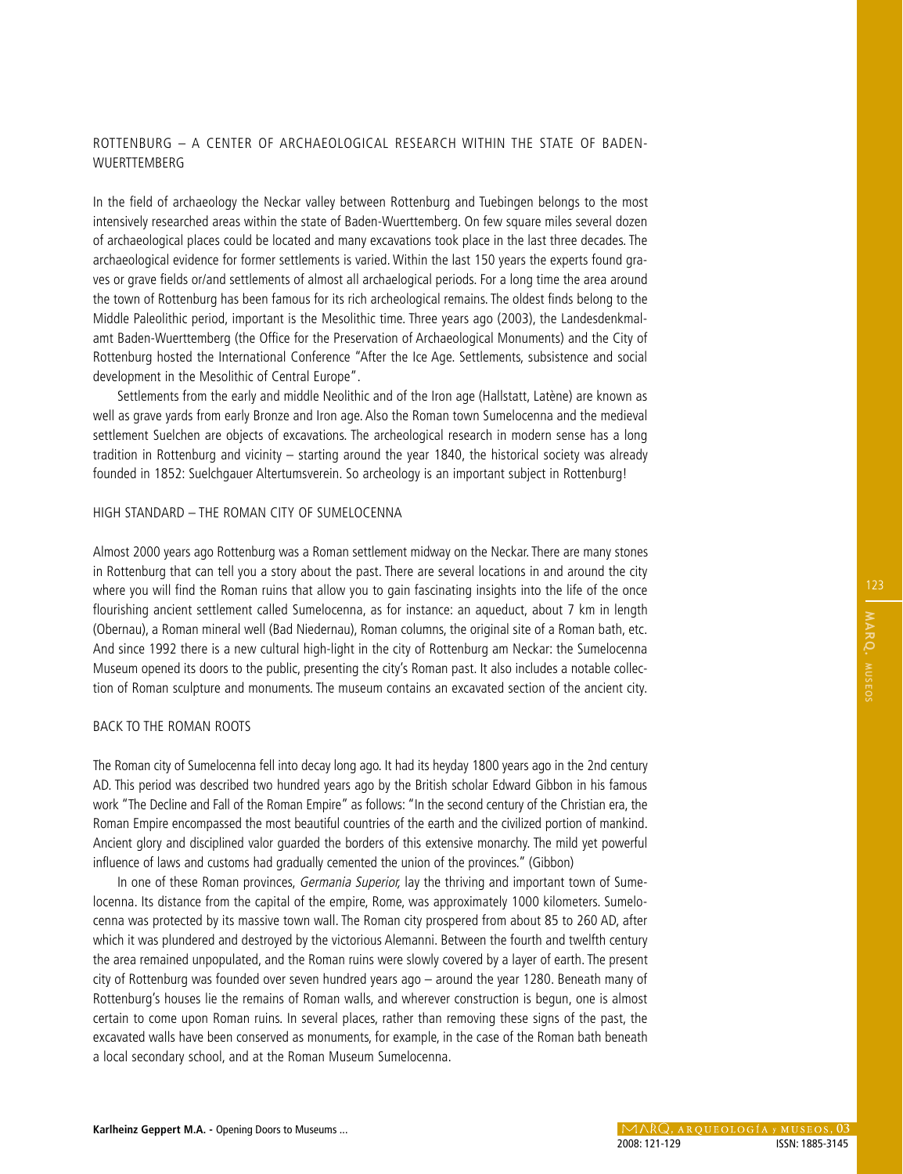# ROTTENBURG – A CENTER OF ARCHAEOLOGICAL RESEARCH WITHIN THE STATE OF BADEN-**WUERTTEMBERG**

In the field of archaeology the Neckar valley between Rottenburg and Tuebingen belongs to the most intensively researched areas within the state of Baden-Wuerttemberg. On few square miles several dozen of archaeological places could be located and many excavations took place in the last three decades. The archaeological evidence for former settlements is varied. Within the last 150 years the experts found graves or grave fields or/and settlements of almost all archaelogical periods. For a long time the area around the town of Rottenburg has been famous for its rich archeological remains. The oldest finds belong to the Middle Paleolithic period, important is the Mesolithic time. Three years ago (2003), the Landesdenkmalamt Baden-Wuerttemberg (the Office for the Preservation of Archaeological Monuments) and the City of Rottenburg hosted the International Conference "After the Ice Age. Settlements, subsistence and social development in the Mesolithic of Central Europe".

Settlements from the early and middle Neolithic and of the Iron age (Hallstatt, Latène) are known as well as grave yards from early Bronze and Iron age. Also the Roman town Sumelocenna and the medieval settlement Suelchen are objects of excavations. The archeological research in modern sense has a long tradition in Rottenburg and vicinity – starting around the year 1840, the historical society was already founded in 1852: Suelchgauer Altertumsverein. So archeology is an important subject in Rottenburg!

## HIGH STANDARD – THE ROMAN CITY OF SUMELOCENNA

Almost 2000 years ago Rottenburg was a Roman settlement midway on the Neckar. There are many stones in Rottenburg that can tell you a story about the past. There are several locations in and around the city where you will find the Roman ruins that allow you to gain fascinating insights into the life of the once flourishing ancient settlement called Sumelocenna, as for instance: an aqueduct, about 7 km in length (Obernau), a Roman mineral well (Bad Niedernau), Roman columns, the original site of a Roman bath, etc. And since 1992 there is a new cultural high-light in the city of Rottenburg am Neckar: the Sumelocenna Museum opened its doors to the public, presenting the city's Roman past. It also includes a notable collection of Roman sculpture and monuments. The museum contains an excavated section of the ancient city.

## BACK TO THE ROMAN ROOTS

The Roman city of Sumelocenna fell into decay long ago. It had its heyday 1800 years ago in the 2nd century AD. This period was described two hundred years ago by the British scholar Edward Gibbon in his famous work "The Decline and Fall of the Roman Empire" as follows: "In the second century of the Christian era, the Roman Empire encompassed the most beautiful countries of the earth and the civilized portion of mankind. Ancient glory and disciplined valor guarded the borders of this extensive monarchy. The mild yet powerful influence of laws and customs had gradually cemented the union of the provinces." (Gibbon)

In one of these Roman provinces, *Germania Superior*, lay the thriving and important town of Sumelocenna. Its distance from the capital of the empire, Rome, was approximately 1000 kilometers. Sumelocenna was protected by its massive town wall. The Roman city prospered from about 85 to 260 AD, after which it was plundered and destroyed by the victorious Alemanni. Between the fourth and twelfth century the area remained unpopulated, and the Roman ruins were slowly covered by a layer of earth. The present city of Rottenburg was founded over seven hundred years ago – around the year 1280. Beneath many of Rottenburg's houses lie the remains of Roman walls, and wherever construction is begun, one is almost certain to come upon Roman ruins. In several places, rather than removing these signs of the past, the excavated walls have been conserved as monuments, for example, in the case of the Roman bath beneath a local secondary school, and at the Roman Museum Sumelocenna.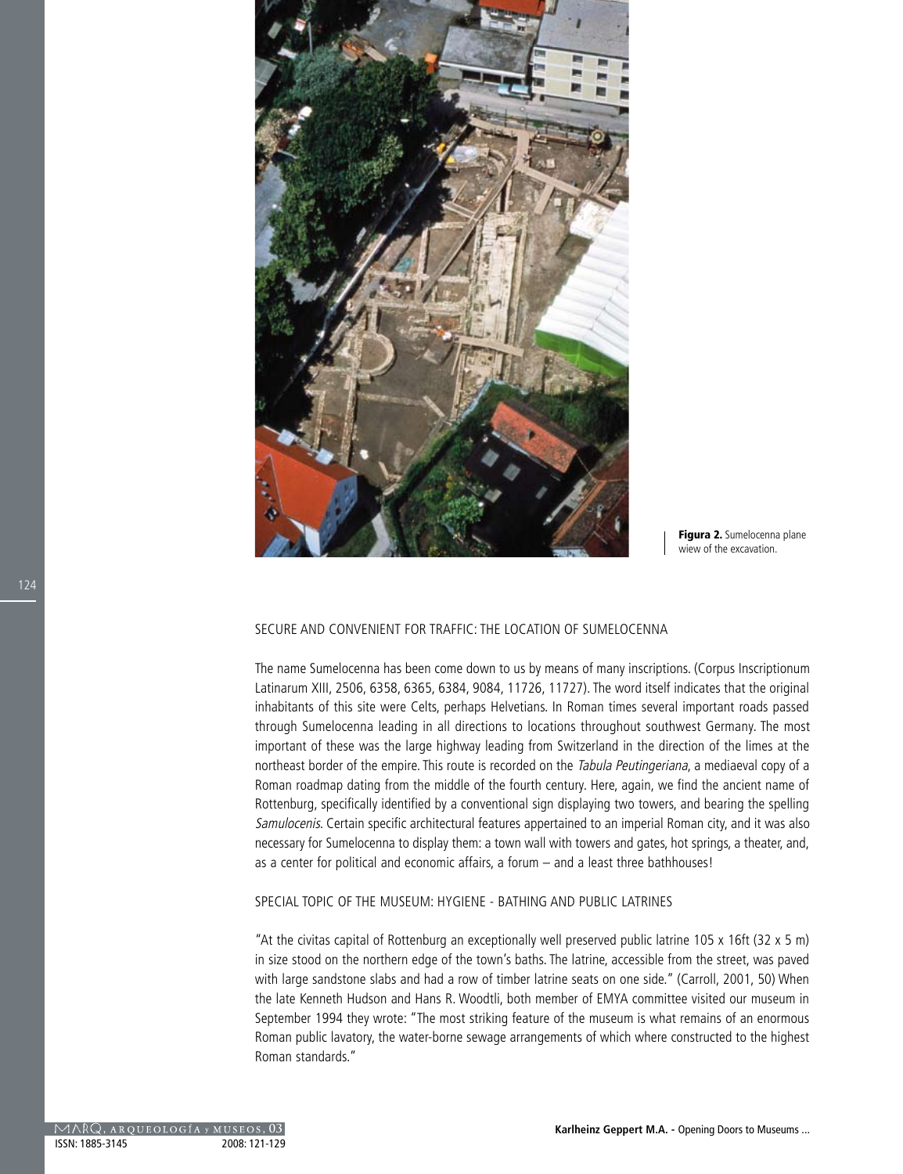

Figura 2. Sumelocenna plane wiew of the excavation.

#### SECURE AND CONVENIENT FOR TRAFFIC: THE LOCATION OF SUMELOCENNA

The name Sumelocenna has been come down to us by means of many inscriptions. (Corpus Inscriptionum Latinarum XIII, 2506, 6358, 6365, 6384, 9084, 11726, 11727). The word itself indicates that the original inhabitants of this site were Celts, perhaps Helvetians. In Roman times several important roads passed through Sumelocenna leading in all directions to locations throughout southwest Germany. The most important of these was the large highway leading from Switzerland in the direction of the limes at the northeast border of the empire. This route is recorded on the Tabula Peutingeriana, a mediaeval copy of a Roman roadmap dating from the middle of the fourth century. Here, again, we find the ancient name of Rottenburg, specifically identified by a conventional sign displaying two towers, and bearing the spelling Samulocenis. Certain specific architectural features appertained to an imperial Roman city, and it was also necessary for Sumelocenna to display them: a town wall with towers and gates, hot springs, a theater, and, as a center for political and economic affairs, a forum – and a least three bathhouses!

## SPECIAL TOPIC OF THE MUSEUM: HYGIENE - BATHING AND PUBLIC LATRINES

"At the civitas capital of Rottenburg an exceptionally well preserved public latrine 105 x 16ft (32 x 5 m) in size stood on the northern edge of the town's baths. The latrine, accessible from the street, was paved with large sandstone slabs and had a row of timber latrine seats on one side." (Carroll, 2001, 50) When the late Kenneth Hudson and Hans R. Woodtli, both member of EMYA committee visited our museum in September 1994 they wrote: "The most striking feature of the museum is what remains of an enormous Roman public lavatory, the water-borne sewage arrangements of which where constructed to the highest Roman standards."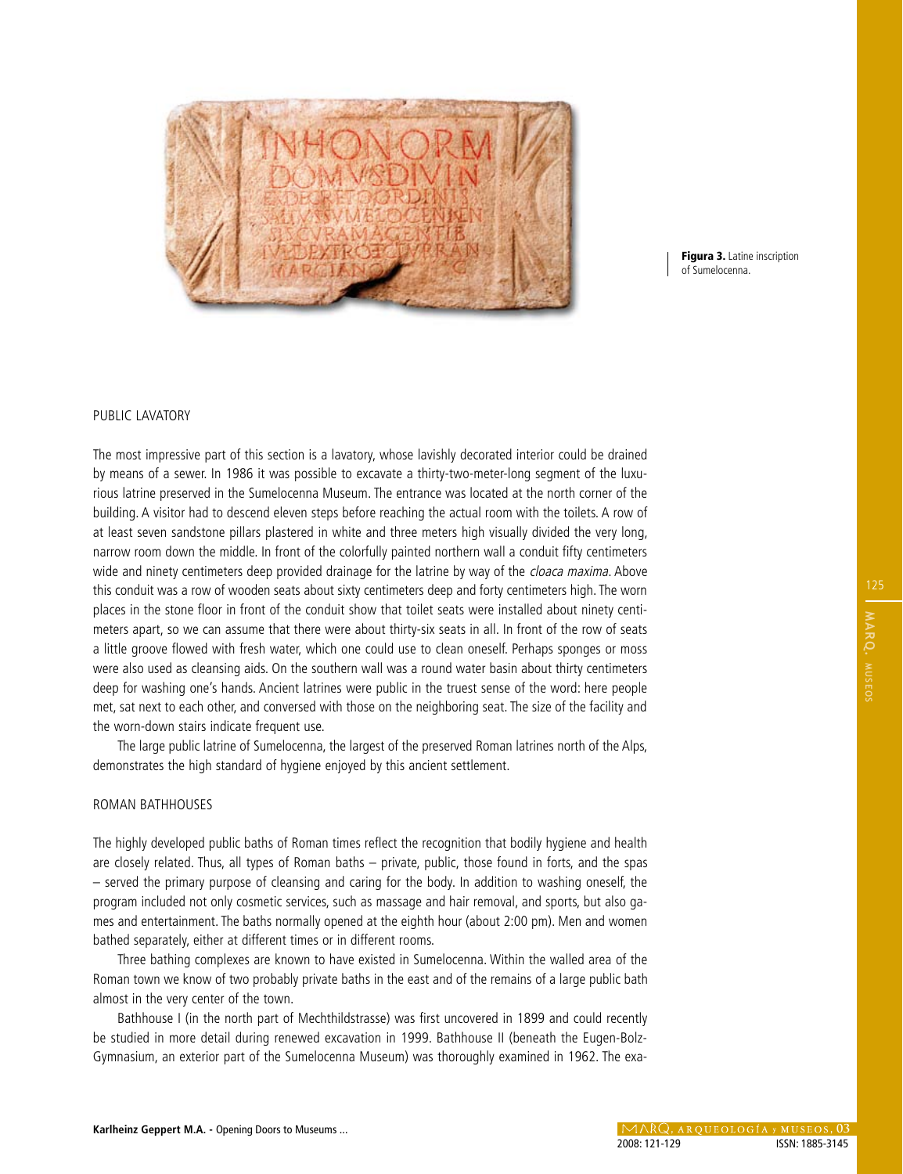

Figura 3. Latine inscription of Sumelocenna.

#### PUBLIC LAVATORY

The most impressive part of this section is a lavatory, whose lavishly decorated interior could be drained by means of a sewer. In 1986 it was possible to excavate a thirty-two-meter-long segment of the luxurious latrine preserved in the Sumelocenna Museum. The entrance was located at the north corner of the building. A visitor had to descend eleven steps before reaching the actual room with the toilets. A row of at least seven sandstone pillars plastered in white and three meters high visually divided the very long, narrow room down the middle. In front of the colorfully painted northern wall a conduit fifty centimeters wide and ninety centimeters deep provided drainage for the latrine by way of the *cloaca maxima*. Above this conduit was a row of wooden seats about sixty centimeters deep and forty centimeters high. The worn places in the stone floor in front of the conduit show that toilet seats were installed about ninety centimeters apart, so we can assume that there were about thirty-six seats in all. In front of the row of seats a little groove flowed with fresh water, which one could use to clean oneself. Perhaps sponges or moss were also used as cleansing aids. On the southern wall was a round water basin about thirty centimeters deep for washing one's hands. Ancient latrines were public in the truest sense of the word: here people met, sat next to each other, and conversed with those on the neighboring seat. The size of the facility and the worn-down stairs indicate frequent use.

The large public latrine of Sumelocenna, the largest of the preserved Roman latrines north of the Alps, demonstrates the high standard of hygiene enjoyed by this ancient settlement.

#### ROMAN BATHHOUSES

The highly developed public baths of Roman times reflect the recognition that bodily hygiene and health are closely related. Thus, all types of Roman baths – private, public, those found in forts, and the spas – served the primary purpose of cleansing and caring for the body. In addition to washing oneself, the program included not only cosmetic services, such as massage and hair removal, and sports, but also games and entertainment. The baths normally opened at the eighth hour (about 2:00 pm). Men and women bathed separately, either at different times or in different rooms.

Three bathing complexes are known to have existed in Sumelocenna. Within the walled area of the Roman town we know of two probably private baths in the east and of the remains of a large public bath almost in the very center of the town.

Bathhouse I (in the north part of Mechthildstrasse) was first uncovered in 1899 and could recently be studied in more detail during renewed excavation in 1999. Bathhouse II (beneath the Eugen-Bolz-Gymnasium, an exterior part of the Sumelocenna Museum) was thoroughly examined in 1962. The exa-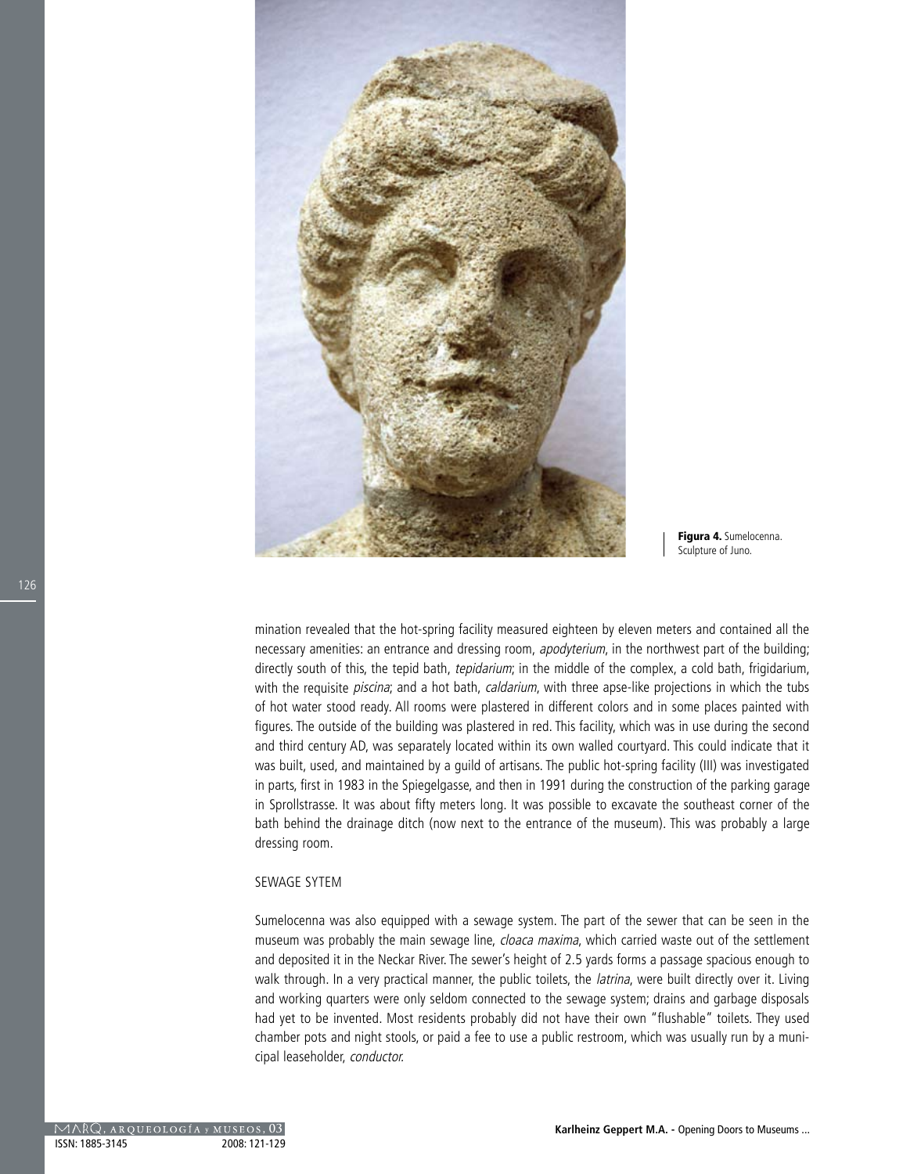

Figura 4. Sumelocenna. Sculpture of Juno.

mination revealed that the hot-spring facility measured eighteen by eleven meters and contained all the necessary amenities: an entrance and dressing room, *apodyterium*, in the northwest part of the building; directly south of this, the tepid bath, *tepidarium*; in the middle of the complex, a cold bath, frigidarium, with the requisite *piscina*; and a hot bath, *caldarium*, with three apse-like projections in which the tubs of hot water stood ready. All rooms were plastered in different colors and in some places painted with figures. The outside of the building was plastered in red. This facility, which was in use during the second and third century AD, was separately located within its own walled courtyard. This could indicate that it was built, used, and maintained by a guild of artisans. The public hot-spring facility (III) was investigated in parts, first in 1983 in the Spiegelgasse, and then in 1991 during the construction of the parking garage in Sprollstrasse. It was about fifty meters long. It was possible to excavate the southeast corner of the bath behind the drainage ditch (now next to the entrance of the museum). This was probably a large dressing room.

#### SEWAGE SYTEM

Sumelocenna was also equipped with a sewage system. The part of the sewer that can be seen in the museum was probably the main sewage line, cloaca maxima, which carried waste out of the settlement and deposited it in the Neckar River. The sewer's height of 2.5 yards forms a passage spacious enough to walk through. In a very practical manner, the public toilets, the *latrina*, were built directly over it. Living and working quarters were only seldom connected to the sewage system; drains and garbage disposals had yet to be invented. Most residents probably did not have their own "flushable" toilets. They used chamber pots and night stools, or paid a fee to use a public restroom, which was usually run by a municipal leaseholder, conductor.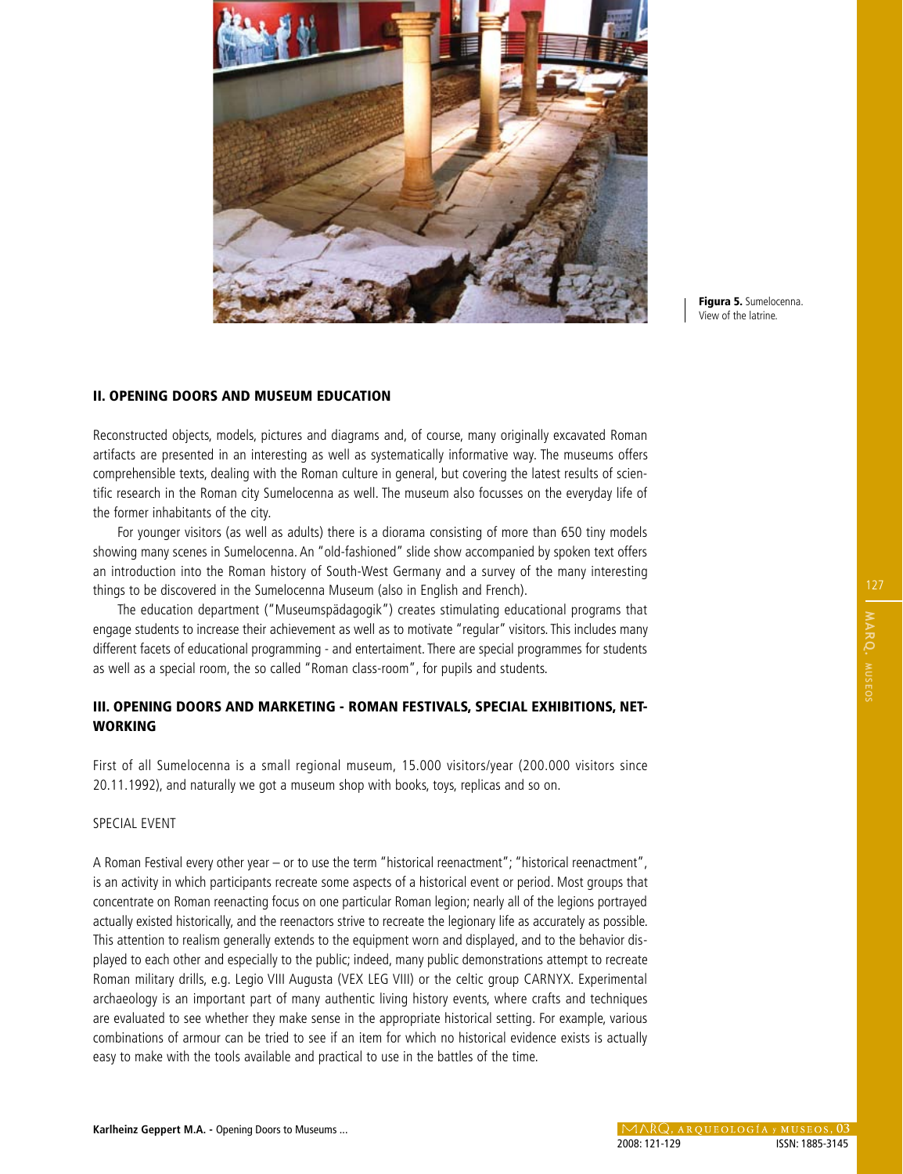

Figura 5. Sumelocenna. View of the latrine.

## II. OPENING DOORS AND MUSEUM EDUCATION

Reconstructed objects, models, pictures and diagrams and, of course, many originally excavated Roman artifacts are presented in an interesting as well as systematically informative way. The museums offers comprehensible texts, dealing with the Roman culture in general, but covering the latest results of scientific research in the Roman city Sumelocenna as well. The museum also focusses on the everyday life of the former inhabitants of the city.

For younger visitors (as well as adults) there is a diorama consisting of more than 650 tiny models showing many scenes in Sumelocenna. An "old-fashioned" slide show accompanied by spoken text offers an introduction into the Roman history of South-West Germany and a survey of the many interesting things to be discovered in the Sumelocenna Museum (also in English and French).

The education department ("Museumspädagogik") creates stimulating educational programs that engage students to increase their achievement as well as to motivate "regular" visitors. This includes many different facets of educational programming - and entertaiment. There are special programmes for students as well as a special room, the so called "Roman class-room", for pupils and students.

# III. OPENING DOORS AND MARKETING - ROMAN FESTIVALS, SPECIAL EXHIBITIONS, NET-WORKING

First of all Sumelocenna is a small regional museum, 15.000 visitors/year (200.000 visitors since 20.11.1992), and naturally we got a museum shop with books, toys, replicas and so on.

## SPECIAL EVENT

A Roman Festival every other year – or to use the term "historical reenactment"; "historical reenactment", is an activity in which participants recreate some aspects of a historical event or period. Most groups that concentrate on Roman reenacting focus on one particular Roman legion; nearly all of the legions portrayed actually existed historically, and the reenactors strive to recreate the legionary life as accurately as possible. This attention to realism generally extends to the equipment worn and displayed, and to the behavior displayed to each other and especially to the public; indeed, many public demonstrations attempt to recreate Roman military drills, e.g. Legio VIII Augusta (VEX LEG VIII) or the celtic group CARNYX. Experimental archaeology is an important part of many authentic living history events, where crafts and techniques are evaluated to see whether they make sense in the appropriate historical setting. For example, various combinations of armour can be tried to see if an item for which no historical evidence exists is actually easy to make with the tools available and practical to use in the battles of the time.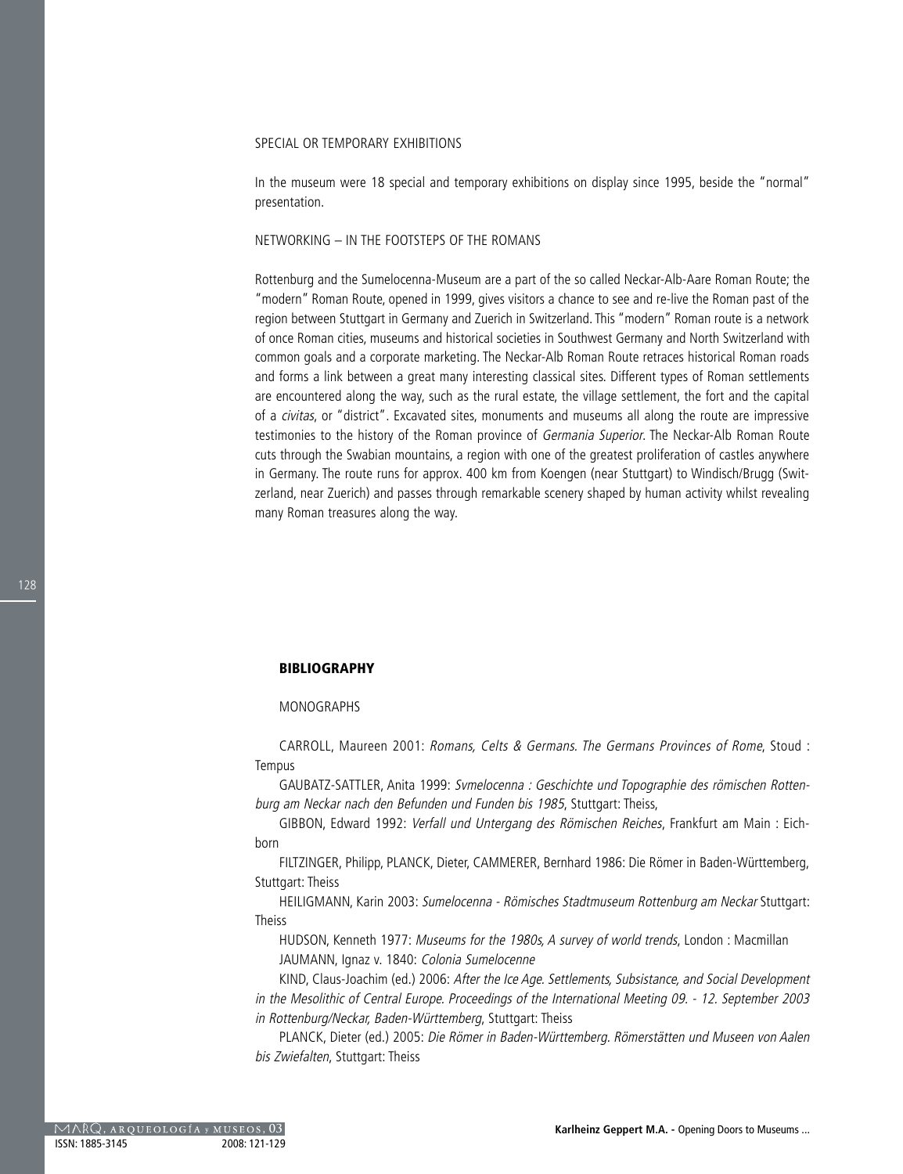#### SPECIAL OR TEMPORARY EXHIBITIONS

In the museum were 18 special and temporary exhibitions on display since 1995, beside the "normal" presentation.

#### NETWORKING – IN THE FOOTSTEPS OF THE ROMANS

Rottenburg and the Sumelocenna-Museum are a part of the so called Neckar-Alb-Aare Roman Route; the "modern" Roman Route, opened in 1999, gives visitors a chance to see and re-live the Roman past of the region between Stuttgart in Germany and Zuerich in Switzerland. This "modern" Roman route is a network of once Roman cities, museums and historical societies in Southwest Germany and North Switzerland with common goals and a corporate marketing. The Neckar-Alb Roman Route retraces historical Roman roads and forms a link between a great many interesting classical sites. Different types of Roman settlements are encountered along the way, such as the rural estate, the village settlement, the fort and the capital of a civitas, or "district". Excavated sites, monuments and museums all along the route are impressive testimonies to the history of the Roman province of Germania Superior. The Neckar-Alb Roman Route cuts through the Swabian mountains, a region with one of the greatest proliferation of castles anywhere in Germany. The route runs for approx. 400 km from Koengen (near Stuttgart) to Windisch/Brugg (Switzerland, near Zuerich) and passes through remarkable scenery shaped by human activity whilst revealing many Roman treasures along the way.

## BIBLIOGRAPHY

#### MONOGRAPHS

CARROLL, Maureen 2001: Romans, Celts & Germans. The Germans Provinces of Rome, Stoud : Tempus

GAUBATZ-SATTLER, Anita 1999: Svmelocenna : Geschichte und Topographie des römischen Rottenburg am Neckar nach den Befunden und Funden bis 1985, Stuttgart: Theiss,

GIBBON, Edward 1992: Verfall und Untergang des Römischen Reiches, Frankfurt am Main : Eichborn

FILTZINGER, Philipp, PLANCK, Dieter, CAMMERER, Bernhard 1986: Die Römer in Baden-Württemberg, Stuttgart: Theiss

HEILIGMANN, Karin 2003: Sumelocenna - Römisches Stadtmuseum Rottenburg am Neckar Stuttgart: Theiss

HUDSON, Kenneth 1977: Museums for the 1980s, A survey of world trends, London : Macmillan JAUMANN, Ignaz v. 1840: Colonia Sumelocenne

KIND, Claus-Joachim (ed.) 2006: After the Ice Age. Settlements, Subsistance, and Social Development in the Mesolithic of Central Europe. Proceedings of the International Meeting 09. - 12. September 2003 in Rottenburg/Neckar, Baden-Württemberg, Stuttgart: Theiss

PLANCK, Dieter (ed.) 2005: Die Römer in Baden-Württemberg. Römerstätten und Museen von Aalen bis Zwiefalten, Stuttgart: Theiss